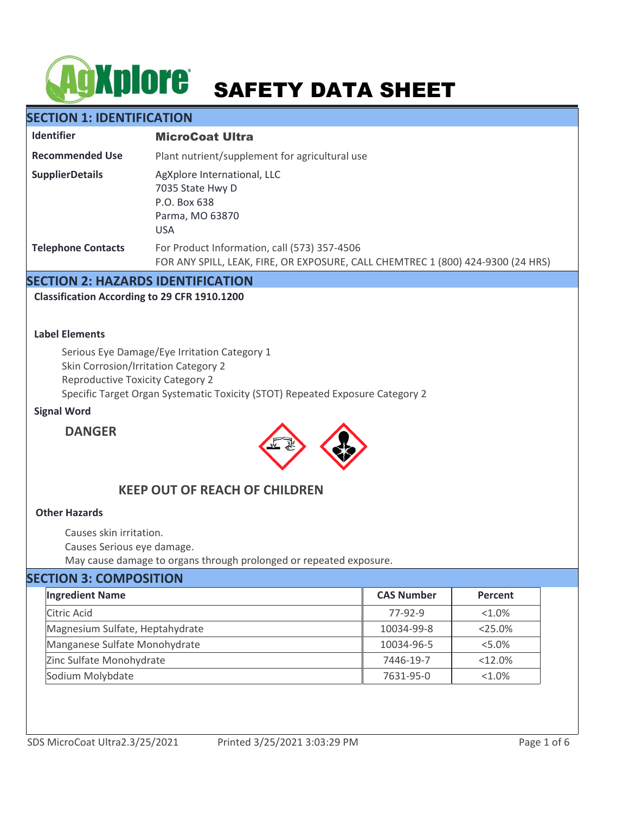# AGXplore SAFETY DATA SHEET

# **SECTION 1: IDENTIFICATION**

| <b>Identifier</b>         | <b>MicroCoat Ultra</b>                                                                                                          |  |  |  |
|---------------------------|---------------------------------------------------------------------------------------------------------------------------------|--|--|--|
| <b>Recommended Use</b>    | Plant nutrient/supplement for agricultural use                                                                                  |  |  |  |
| <b>SupplierDetails</b>    | AgXplore International, LLC<br>7035 State Hwy D<br>P.O. Box 638<br>Parma, MO 63870<br><b>USA</b>                                |  |  |  |
| <b>Telephone Contacts</b> | For Product Information, call (573) 357-4506<br>FOR ANY SPILL, LEAK, FIRE, OR EXPOSURE, CALL CHEMTREC 1 (800) 424-9300 (24 HRS) |  |  |  |

# **SECTION 2: HAZARDS IDENTIFICATION**

**Classification According to 29 CFR 1910.1200**

## **Label Elements**

Serious Eye Damage/Eye Irritation Category 1 Skin Corrosion/Irritation Category 2 Reproductive Toxicity Category 2 Specific Target Organ Systematic Toxicity (STOT) Repeated Exposure Category 2

## **Signal Word**

# **DANGER**



# **KEEP OUT OF REACH OF CHILDREN**

## **Other Hazards**

Causes skin irritation.

Causes Serious eye damage.

May cause damage to organs through prolonged or repeated exposure.

# **SECTION 3: COMPOSITION**

| <b>Ingredient Name</b>          | <b>CAS Number</b> | Percent   |
|---------------------------------|-------------------|-----------|
| Citric Acid                     | 77-92-9           | $< 1.0\%$ |
| Magnesium Sulfate, Heptahydrate | 10034-99-8        | $<$ 25.0% |
| Manganese Sulfate Monohydrate   | 10034-96-5        | $< 5.0\%$ |
| Zinc Sulfate Monohydrate        | 7446-19-7         | <12.0%    |
| Sodium Molybdate                | 7631-95-0         | $< 1.0\%$ |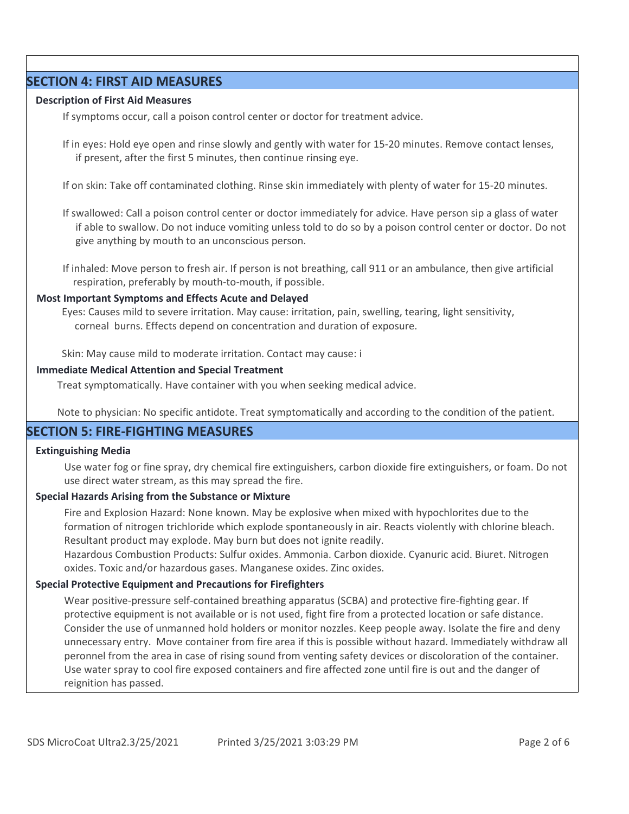## **SECTION 4: FIRST AID MEASURES**

## **Description of First Aid Measures**

If symptoms occur, call a poison control center or doctor for treatment advice.

If in eyes: Hold eye open and rinse slowly and gently with water for 15-20 minutes. Remove contact lenses, if present, after the first 5 minutes, then continue rinsing eye.

If on skin: Take off contaminated clothing. Rinse skin immediately with plenty of water for 15-20 minutes.

If swallowed: Call a poison control center or doctor immediately for advice. Have person sip a glass of water if able to swallow. Do not induce vomiting unless told to do so by a poison control center or doctor. Do not give anything by mouth to an unconscious person.

If inhaled: Move person to fresh air. If person is not breathing, call 911 or an ambulance, then give artificial respiration, preferably by mouth-to-mouth, if possible.

## **Most Important Symptoms and Effects Acute and Delayed**

Eyes: Causes mild to severe irritation. May cause: irritation, pain, swelling, tearing, light sensitivity, corneal burns. Effects depend on concentration and duration of exposure.

Skin: May cause mild to moderate irritation. Contact may cause: i

## **Immediate Medical Attention and Special Treatment**

Treat symptomatically. Have container with you when seeking medical advice.

Note to physician: No specific antidote. Treat symptomatically and according to the condition of the patient.

# **SECTION 5: FIRE-FIGHTING MEASURES**

## **Extinguishing Media**

Use water fog or fine spray, dry chemical fire extinguishers, carbon dioxide fire extinguishers, or foam. Do not use direct water stream, as this may spread the fire.

## **Special Hazards Arising from the Substance or Mixture**

Fire and Explosion Hazard: None known. May be explosive when mixed with hypochlorites due to the formation of nitrogen trichloride which explode spontaneously in air. Reacts violently with chlorine bleach. Resultant product may explode. May burn but does not ignite readily.

Hazardous Combustion Products: Sulfur oxides. Ammonia. Carbon dioxide. Cyanuric acid. Biuret. Nitrogen oxides. Toxic and/or hazardous gases. Manganese oxides. Zinc oxides.

## **Special Protective Equipment and Precautions for Firefighters**

Wear positive-pressure self-contained breathing apparatus (SCBA) and protective fire-fighting gear. If protective equipment is not available or is not used, fight fire from a protected location or safe distance. Consider the use of unmanned hold holders or monitor nozzles. Keep people away. Isolate the fire and deny unnecessary entry. Move container from fire area if this is possible without hazard. Immediately withdraw all peronnel from the area in case of rising sound from venting safety devices or discoloration of the container. Use water spray to cool fire exposed containers and fire affected zone until fire is out and the danger of reignition has passed.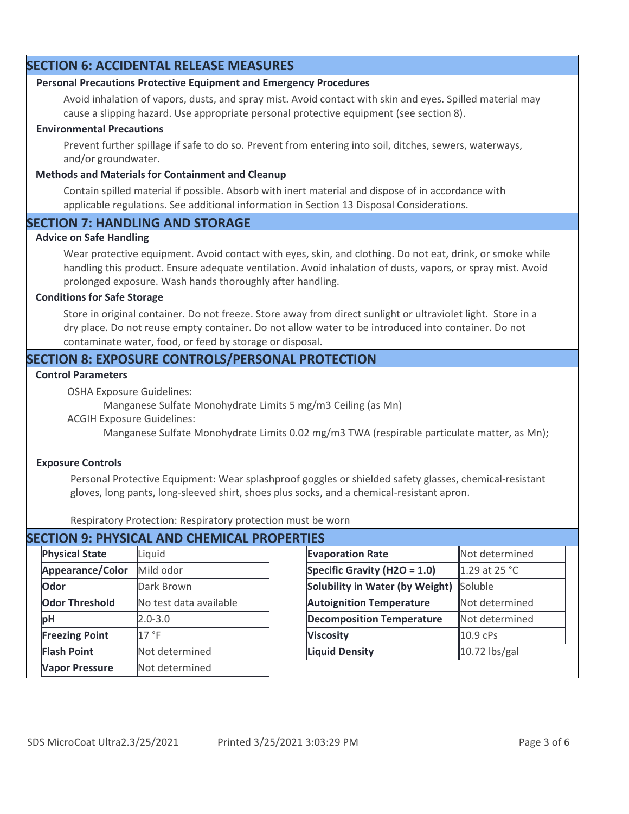# **SECTION 6: ACCIDENTAL RELEASE MEASURES**

## **Personal Precautions Protective Equipment and Emergency Procedures**

Avoid inhalation of vapors, dusts, and spray mist. Avoid contact with skin and eyes. Spilled material may cause a slipping hazard. Use appropriate personal protective equipment (see section 8).

## **Environmental Precautions**

Prevent further spillage if safe to do so. Prevent from entering into soil, ditches, sewers, waterways, and/or groundwater.

## **Methods and Materials for Containment and Cleanup**

Contain spilled material if possible. Absorb with inert material and dispose of in accordance with applicable regulations. See additional information in Section 13 Disposal Considerations.

# **SECTION 7: HANDLING AND STORAGE**

## **Advice on Safe Handling**

Wear protective equipment. Avoid contact with eyes, skin, and clothing. Do not eat, drink, or smoke while handling this product. Ensure adequate ventilation. Avoid inhalation of dusts, vapors, or spray mist. Avoid prolonged exposure. Wash hands thoroughly after handling.

#### **Conditions for Safe Storage**

Store in original container. Do not freeze. Store away from direct sunlight or ultraviolet light. Store in a dry place. Do not reuse empty container. Do not allow water to be introduced into container. Do not contaminate water, food, or feed by storage or disposal.

# **SECTION 8: EXPOSURE CONTROLS/PERSONAL PROTECTION**

## **Control Parameters**

OSHA Exposure Guidelines:

Manganese Sulfate Monohydrate Limits 5 mg/m3 Ceiling (as Mn)

ACGIH Exposure Guidelines:

Manganese Sulfate Monohydrate Limits 0.02 mg/m3 TWA (respirable particulate matter, as Mn);

## **Exposure Controls**

Personal Protective Equipment: Wear splashproof goggles or shielded safety glasses, chemical-resistant gloves, long pants, long-sleeved shirt, shoes plus socks, and a chemical-resistant apron.

Respiratory Protection: Respiratory protection must be worn

| <b>SECTION 9: PHYSICAL AND CHEMICAL PROPERTIES</b> |                        |                  |                                  |                |  |  |
|----------------------------------------------------|------------------------|------------------|----------------------------------|----------------|--|--|
| <b>Physical State</b>                              | Liquid                 |                  | <b>Evaporation Rate</b>          | Not determined |  |  |
| Appearance/Color                                   | Mild odor              |                  | Specific Gravity (H2O = 1.0)     | 1.29 at 25 °C  |  |  |
| Odor                                               | Dark Brown             |                  | Solubility in Water (by Weight)  | Soluble        |  |  |
| <b>Odor Threshold</b>                              | No test data available |                  | <b>Autoignition Temperature</b>  | Not determined |  |  |
| pH                                                 | $2.0 - 3.0$            |                  | <b>Decomposition Temperature</b> | Not determined |  |  |
| <b>Freezing Point</b>                              | 17 °F                  | <b>Viscosity</b> |                                  | 10.9 cPs       |  |  |
| <b>Flash Point</b>                                 | Not determined         |                  | <b>Liquid Density</b>            | 10.72 lbs/gal  |  |  |
| <b>Vapor Pressure</b>                              | Not determined         |                  |                                  |                |  |  |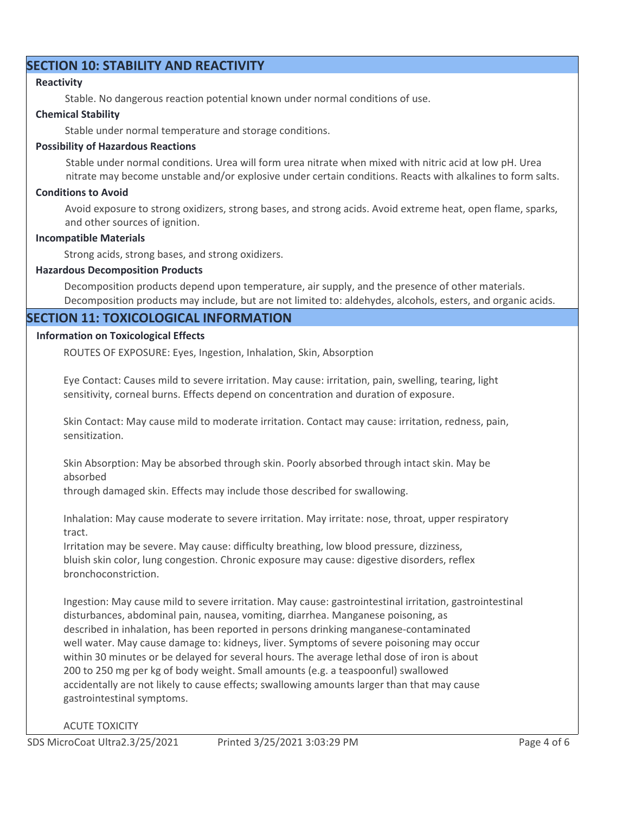# **SECTION 10: STABILITY AND REACTIVITY**

## **Reactivity**

Stable. No dangerous reaction potential known under normal conditions of use.

## **Chemical Stability**

Stable under normal temperature and storage conditions.

## **Possibility of Hazardous Reactions**

Stable under normal conditions. Urea will form urea nitrate when mixed with nitric acid at low pH. Urea nitrate may become unstable and/or explosive under certain conditions. Reacts with alkalines to form salts.

## **Conditions to Avoid**

Avoid exposure to strong oxidizers, strong bases, and strong acids. Avoid extreme heat, open flame, sparks, and other sources of ignition.

## **Incompatible Materials**

Strong acids, strong bases, and strong oxidizers.

## **Hazardous Decomposition Products**

Decomposition products depend upon temperature, air supply, and the presence of other materials. Decomposition products may include, but are not limited to: aldehydes, alcohols, esters, and organic acids.

# **SECTION 11: TOXICOLOGICAL INFORMATION**

# **Information on Toxicological Effects**

ROUTES OF EXPOSURE: Eyes, Ingestion, Inhalation, Skin, Absorption

Eye Contact: Causes mild to severe irritation. May cause: irritation, pain, swelling, tearing, light sensitivity, corneal burns. Effects depend on concentration and duration of exposure.

Skin Contact: May cause mild to moderate irritation. Contact may cause: irritation, redness, pain, sensitization.

Skin Absorption: May be absorbed through skin. Poorly absorbed through intact skin. May be absorbed

through damaged skin. Effects may include those described for swallowing.

Inhalation: May cause moderate to severe irritation. May irritate: nose, throat, upper respiratory tract.

Irritation may be severe. May cause: difficulty breathing, low blood pressure, dizziness, bluish skin color, lung congestion. Chronic exposure may cause: digestive disorders, reflex bronchoconstriction.

Ingestion: May cause mild to severe irritation. May cause: gastrointestinal irritation, gastrointestinal disturbances, abdominal pain, nausea, vomiting, diarrhea. Manganese poisoning, as described in inhalation, has been reported in persons drinking manganese-contaminated well water. May cause damage to: kidneys, liver. Symptoms of severe poisoning may occur within 30 minutes or be delayed for several hours. The average lethal dose of iron is about 200 to 250 mg per kg of body weight. Small amounts (e.g. a teaspoonful) swallowed accidentally are not likely to cause effects; swallowing amounts larger than that may cause gastrointestinal symptoms.

## ACUTE TOXICITY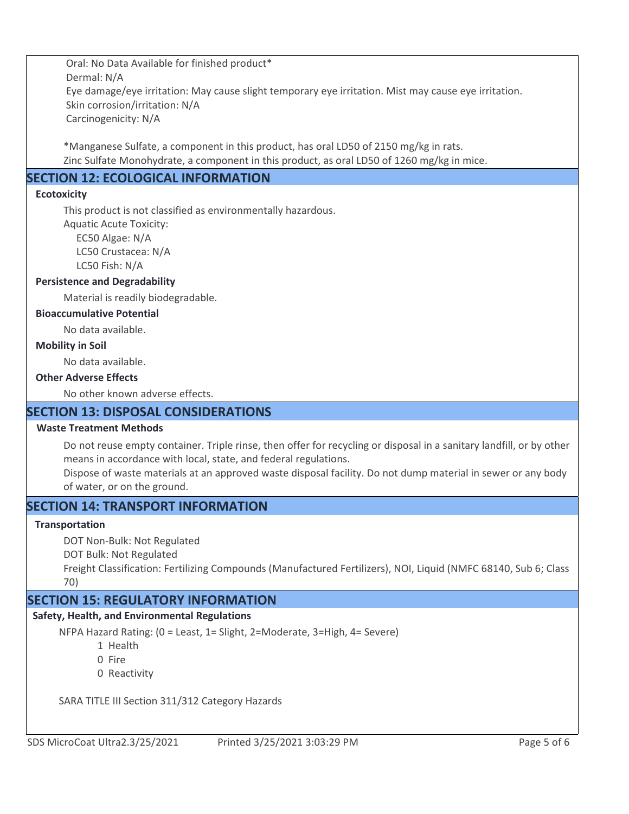Oral: No Data Available for finished product\* Dermal: N/A Eye damage/eye irritation: May cause slight temporary eye irritation. Mist may cause eye irritation. Skin corrosion/irritation: N/A Carcinogenicity: N/A

\*Manganese Sulfate, a component in this product, has oral LD50 of 2150 mg/kg in rats. Zinc Sulfate Monohydrate, a component in this product, as oral LD50 of 1260 mg/kg in mice.

# **SECTION 12: ECOLOGICAL INFORMATION**

## **Ecotoxicity**

This product is not classified as environmentally hazardous.

Aquatic Acute Toxicity:

 EC50 Algae: N/A LC50 Crustacea: N/A LC50 Fish: N/A

## **Persistence and Degradability**

Material is readily biodegradable.

## **Bioaccumulative Potential**

No data available.

## **Mobility in Soil**

No data available.

## **Other Adverse Effects**

No other known adverse effects.

# **SECTION 13: DISPOSAL CONSIDERATIONS**

## **Waste Treatment Methods**

Do not reuse empty container. Triple rinse, then offer for recycling or disposal in a sanitary landfill, or by other means in accordance with local, state, and federal regulations.

Dispose of waste materials at an approved waste disposal facility. Do not dump material in sewer or any body of water, or on the ground.

# **SECTION 14: TRANSPORT INFORMATION**

## **Transportation**

DOT Non-Bulk: Not Regulated

DOT Bulk: Not Regulated

Freight Classification: Fertilizing Compounds (Manufactured Fertilizers), NOI, Liquid (NMFC 68140, Sub 6; Class 70)

# **SECTION 15: REGULATORY INFORMATION**

## **Safety, Health, and Environmental Regulations**

NFPA Hazard Rating: (0 = Least, 1= Slight, 2=Moderate, 3=High, 4= Severe)

1 Health

0 Fire

0 Reactivity

SARA TITLE III Section 311/312 Category Hazards